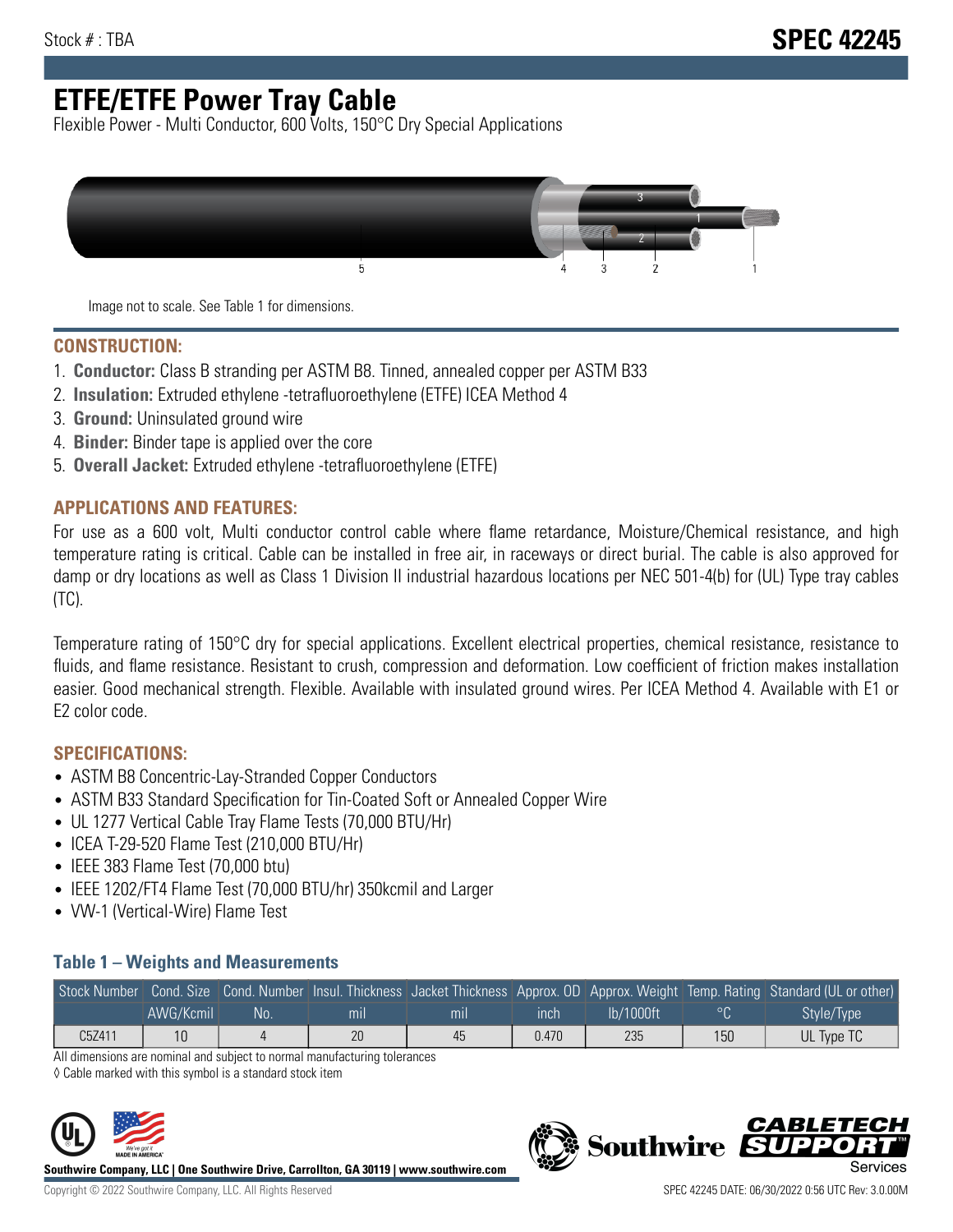# **ETFE/ETFE Power Tray Cable**

Flexible Power - Multi Conductor, 600 Volts, 150°C Dry Special Applications



Image not to scale. See Table 1 for dimensions.

#### **CONSTRUCTION:**

- 1. **Conductor:** Class B stranding per ASTM B8. Tinned, annealed copper per ASTM B33
- 2. **Insulation:** Extruded ethylene -tetrafluoroethylene (ETFE) ICEA Method 4
- 3. **Ground:** Uninsulated ground wire
- 4. **Binder:** Binder tape is applied over the core
- 5. **Overall Jacket:** Extruded ethylene -tetrafluoroethylene (ETFE)

### **APPLICATIONS AND FEATURES:**

For use as a 600 volt, Multi conductor control cable where flame retardance, Moisture/Chemical resistance, and high temperature rating is critical. Cable can be installed in free air, in raceways or direct burial. The cable is also approved for damp or dry locations as well as Class 1 Division II industrial hazardous locations per NEC 501-4(b) for (UL) Type tray cables (TC).

Temperature rating of 150°C dry for special applications. Excellent electrical properties, chemical resistance, resistance to fluids, and flame resistance. Resistant to crush, compression and deformation. Low coefficient of friction makes installation easier. Good mechanical strength. Flexible. Available with insulated ground wires. Per ICEA Method 4. Available with E1 or E2 color code.

## **SPECIFICATIONS:**

- ASTM B8 Concentric-Lay-Stranded Copper Conductors
- ASTM B33 Standard Specification for Tin-Coated Soft or Annealed Copper Wire
- UL 1277 Vertical Cable Tray Flame Tests (70,000 BTU/Hr)
- ICEA T-29-520 Flame Test (210,000 BTU/Hr)
- IEEE 383 Flame Test (70,000 btu)
- IEEE 1202/FT4 Flame Test (70,000 BTU/hr) 350kcmil and Larger
- VW-1 (Vertical-Wire) Flame Test

### **Table 1 – Weights and Measurements**

|        |           |    |     |     |       |           |                | Stock Number Cond. Size Cond. Number Insul. Thickness Jacket Thickness Approx. OD Approx. Weight Temp. Rating Standard (UL or other) |
|--------|-----------|----|-----|-----|-------|-----------|----------------|--------------------------------------------------------------------------------------------------------------------------------------|
|        | AWG/Kcmil | No | mil | mıl | inch  | lb/1000ft | $\circ$ $\cap$ | Style/Type <sup>1</sup>                                                                                                              |
| C5Z411 | 10        |    | 20  | 45  | 0.470 | 235       | 150            | UL Type TC                                                                                                                           |

All dimensions are nominal and subject to normal manufacturing tolerances

◊ Cable marked with this symbol is a standard stock item



**Southwire Company, LLC | One Southwire Drive, Carrollton, GA 30119 | www.southwire.com**



**Southwire** 

CARLET